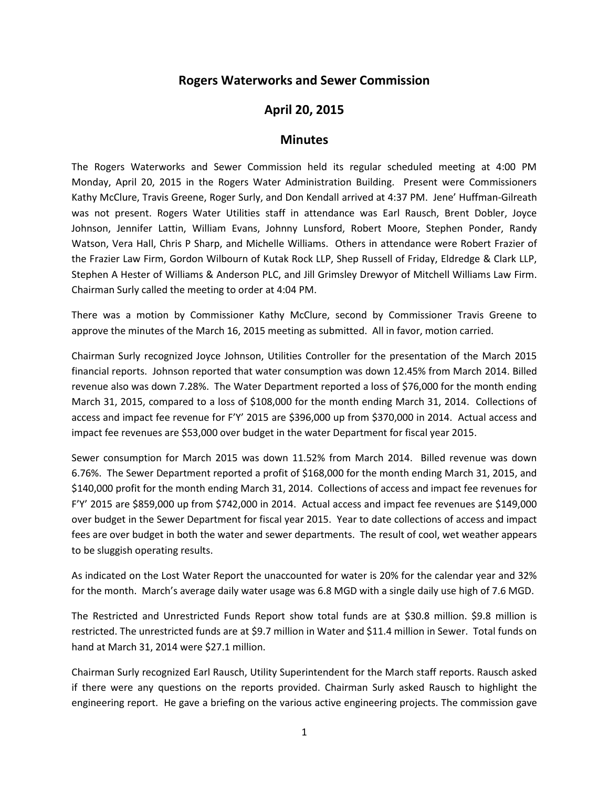## **Rogers Waterworks and Sewer Commission**

## **April 20, 2015**

## **Minutes**

The Rogers Waterworks and Sewer Commission held its regular scheduled meeting at 4:00 PM Monday, April 20, 2015 in the Rogers Water Administration Building. Present were Commissioners Kathy McClure, Travis Greene, Roger Surly, and Don Kendall arrived at 4:37 PM. Jene' Huffman-Gilreath was not present. Rogers Water Utilities staff in attendance was Earl Rausch, Brent Dobler, Joyce Johnson, Jennifer Lattin, William Evans, Johnny Lunsford, Robert Moore, Stephen Ponder, Randy Watson, Vera Hall, Chris P Sharp, and Michelle Williams. Others in attendance were Robert Frazier of the Frazier Law Firm, Gordon Wilbourn of Kutak Rock LLP, Shep Russell of Friday, Eldredge & Clark LLP, Stephen A Hester of Williams & Anderson PLC, and Jill Grimsley Drewyor of Mitchell Williams Law Firm. Chairman Surly called the meeting to order at 4:04 PM.

There was a motion by Commissioner Kathy McClure, second by Commissioner Travis Greene to approve the minutes of the March 16, 2015 meeting as submitted. All in favor, motion carried.

Chairman Surly recognized Joyce Johnson, Utilities Controller for the presentation of the March 2015 financial reports. Johnson reported that water consumption was down 12.45% from March 2014. Billed revenue also was down 7.28%. The Water Department reported a loss of \$76,000 for the month ending March 31, 2015, compared to a loss of \$108,000 for the month ending March 31, 2014. Collections of access and impact fee revenue for F'Y' 2015 are \$396,000 up from \$370,000 in 2014. Actual access and impact fee revenues are \$53,000 over budget in the water Department for fiscal year 2015.

Sewer consumption for March 2015 was down 11.52% from March 2014. Billed revenue was down 6.76%. The Sewer Department reported a profit of \$168,000 for the month ending March 31, 2015, and \$140,000 profit for the month ending March 31, 2014. Collections of access and impact fee revenues for F'Y' 2015 are \$859,000 up from \$742,000 in 2014. Actual access and impact fee revenues are \$149,000 over budget in the Sewer Department for fiscal year 2015. Year to date collections of access and impact fees are over budget in both the water and sewer departments. The result of cool, wet weather appears to be sluggish operating results.

As indicated on the Lost Water Report the unaccounted for water is 20% for the calendar year and 32% for the month. March's average daily water usage was 6.8 MGD with a single daily use high of 7.6 MGD.

The Restricted and Unrestricted Funds Report show total funds are at \$30.8 million. \$9.8 million is restricted. The unrestricted funds are at \$9.7 million in Water and \$11.4 million in Sewer. Total funds on hand at March 31, 2014 were \$27.1 million.

Chairman Surly recognized Earl Rausch, Utility Superintendent for the March staff reports. Rausch asked if there were any questions on the reports provided. Chairman Surly asked Rausch to highlight the engineering report. He gave a briefing on the various active engineering projects. The commission gave